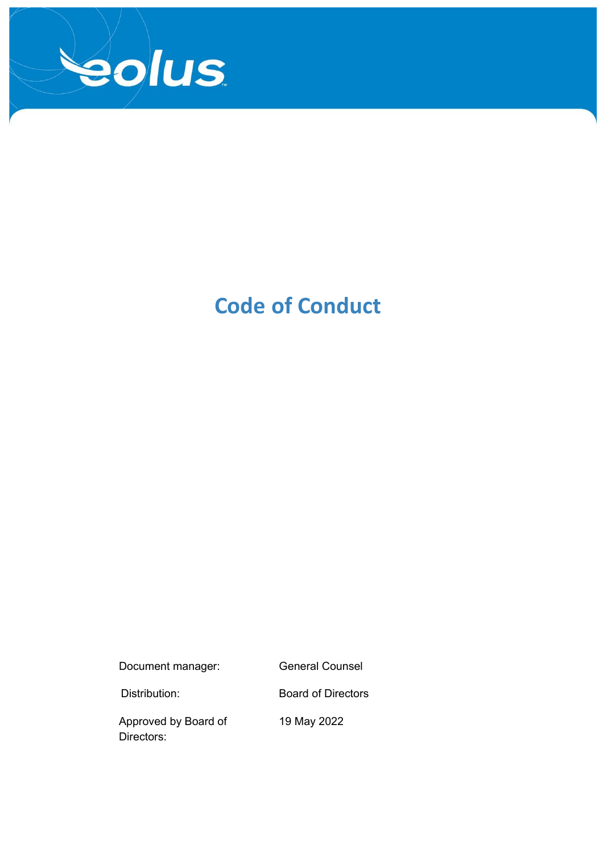

# **Code of Conduct**

Document manager: General Counsel

Distribution: Board of Directors

Approved by Board of Directors:

19 May 2022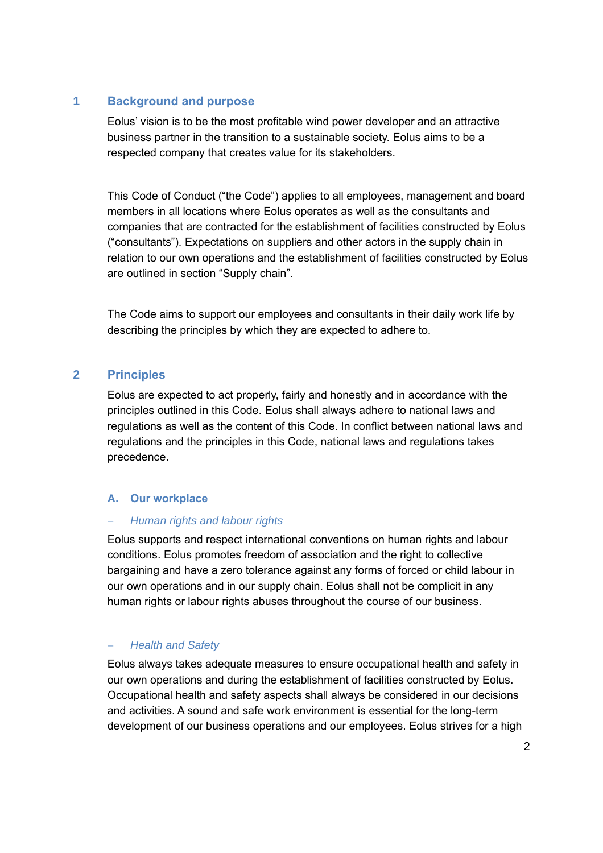# **1 Background and purpose**

Eolus' vision is to be the most profitable wind power developer and an attractive business partner in the transition to a sustainable society. Eolus aims to be a respected company that creates value for its stakeholders.

This Code of Conduct ("the Code") applies to all employees, management and board members in all locations where Eolus operates as well as the consultants and companies that are contracted for the establishment of facilities constructed by Eolus ("consultants"). Expectations on suppliers and other actors in the supply chain in relation to our own operations and the establishment of facilities constructed by Eolus are outlined in section "Supply chain".

The Code aims to support our employees and consultants in their daily work life by describing the principles by which they are expected to adhere to.

## **2 Principles**

Eolus are expected to act properly, fairly and honestly and in accordance with the principles outlined in this Code. Eolus shall always adhere to national laws and regulations as well as the content of this Code. In conflict between national laws and regulations and the principles in this Code, national laws and regulations takes precedence.

#### **A. Our workplace**

#### − *Human rights and labour rights*

Eolus supports and respect international conventions on human rights and labour conditions. Eolus promotes freedom of association and the right to collective bargaining and have a zero tolerance against any forms of forced or child labour in our own operations and in our supply chain. Eolus shall not be complicit in any human rights or labour rights abuses throughout the course of our business.

## − *Health and Safety*

Eolus always takes adequate measures to ensure occupational health and safety in our own operations and during the establishment of facilities constructed by Eolus. Occupational health and safety aspects shall always be considered in our decisions and activities. A sound and safe work environment is essential for the long-term development of our business operations and our employees. Eolus strives for a high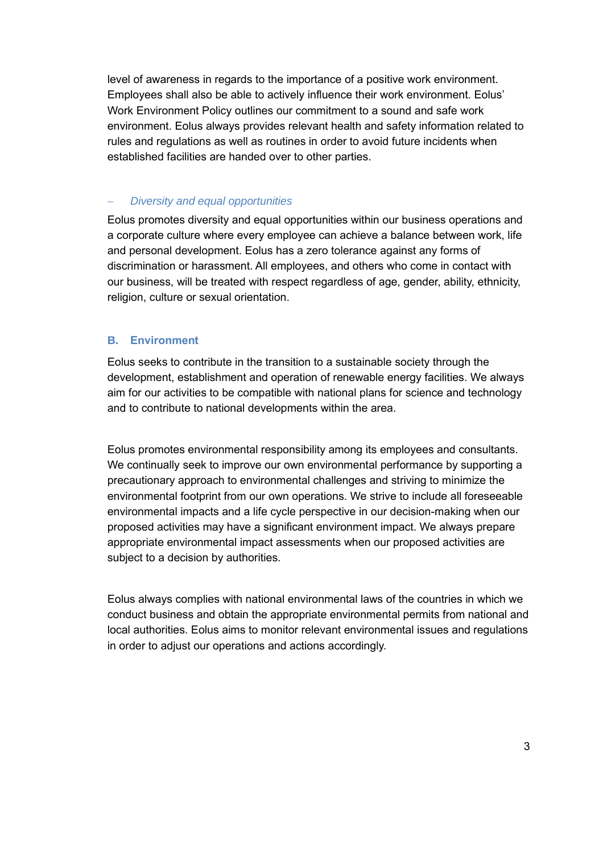level of awareness in regards to the importance of a positive work environment. Employees shall also be able to actively influence their work environment. Eolus' Work Environment Policy outlines our commitment to a sound and safe work environment. Eolus always provides relevant health and safety information related to rules and regulations as well as routines in order to avoid future incidents when established facilities are handed over to other parties.

### − *Diversity and equal opportunities*

Eolus promotes diversity and equal opportunities within our business operations and a corporate culture where every employee can achieve a balance between work, life and personal development. Eolus has a zero tolerance against any forms of discrimination or harassment. All employees, and others who come in contact with our business, will be treated with respect regardless of age, gender, ability, ethnicity, religion, culture or sexual orientation.

## **B. Environment**

Eolus seeks to contribute in the transition to a sustainable society through the development, establishment and operation of renewable energy facilities. We always aim for our activities to be compatible with national plans for science and technology and to contribute to national developments within the area.

Eolus promotes environmental responsibility among its employees and consultants. We continually seek to improve our own environmental performance by supporting a precautionary approach to environmental challenges and striving to minimize the environmental footprint from our own operations. We strive to include all foreseeable environmental impacts and a life cycle perspective in our decision-making when our proposed activities may have a significant environment impact. We always prepare appropriate environmental impact assessments when our proposed activities are subject to a decision by authorities.

Eolus always complies with national environmental laws of the countries in which we conduct business and obtain the appropriate environmental permits from national and local authorities. Eolus aims to monitor relevant environmental issues and regulations in order to adjust our operations and actions accordingly.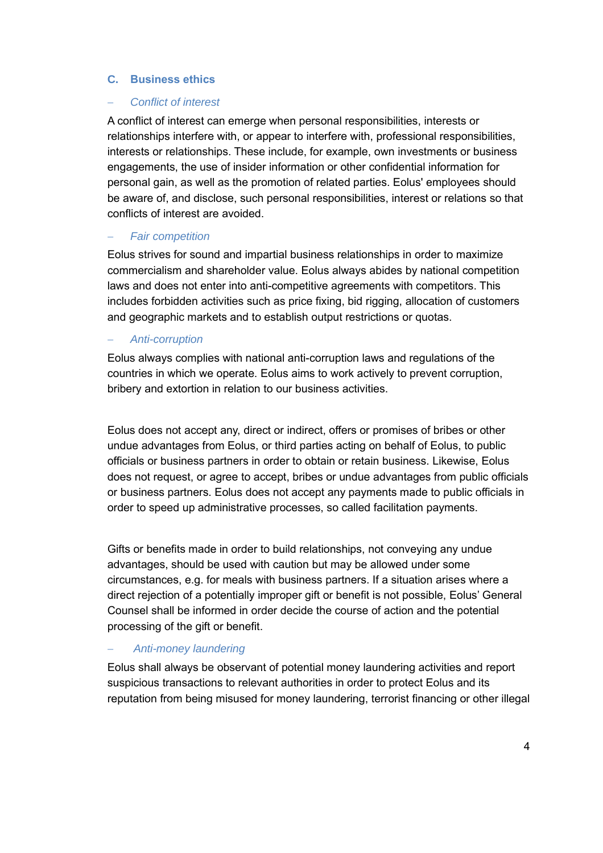#### **C. Business ethics**

#### − *Conflict of interest*

A conflict of interest can emerge when personal responsibilities, interests or relationships interfere with, or appear to interfere with, professional responsibilities, interests or relationships. These include, for example, own investments or business engagements, the use of insider information or other confidential information for personal gain, as well as the promotion of related parties. Eolus' employees should be aware of, and disclose, such personal responsibilities, interest or relations so that conflicts of interest are avoided.

#### − *Fair competition*

Eolus strives for sound and impartial business relationships in order to maximize commercialism and shareholder value. Eolus always abides by national competition laws and does not enter into anti-competitive agreements with competitors. This includes forbidden activities such as price fixing, bid rigging, allocation of customers and geographic markets and to establish output restrictions or quotas.

#### − *Anti-corruption*

Eolus always complies with national anti-corruption laws and regulations of the countries in which we operate. Eolus aims to work actively to prevent corruption, bribery and extortion in relation to our business activities.

Eolus does not accept any, direct or indirect, offers or promises of bribes or other undue advantages from Eolus, or third parties acting on behalf of Eolus, to public officials or business partners in order to obtain or retain business. Likewise, Eolus does not request, or agree to accept, bribes or undue advantages from public officials or business partners. Eolus does not accept any payments made to public officials in order to speed up administrative processes, so called facilitation payments.

Gifts or benefits made in order to build relationships, not conveying any undue advantages, should be used with caution but may be allowed under some circumstances, e.g. for meals with business partners. If a situation arises where a direct rejection of a potentially improper gift or benefit is not possible, Eolus' General Counsel shall be informed in order decide the course of action and the potential processing of the gift or benefit.

#### − *Anti-money laundering*

Eolus shall always be observant of potential money laundering activities and report suspicious transactions to relevant authorities in order to protect Eolus and its reputation from being misused for money laundering, terrorist financing or other illegal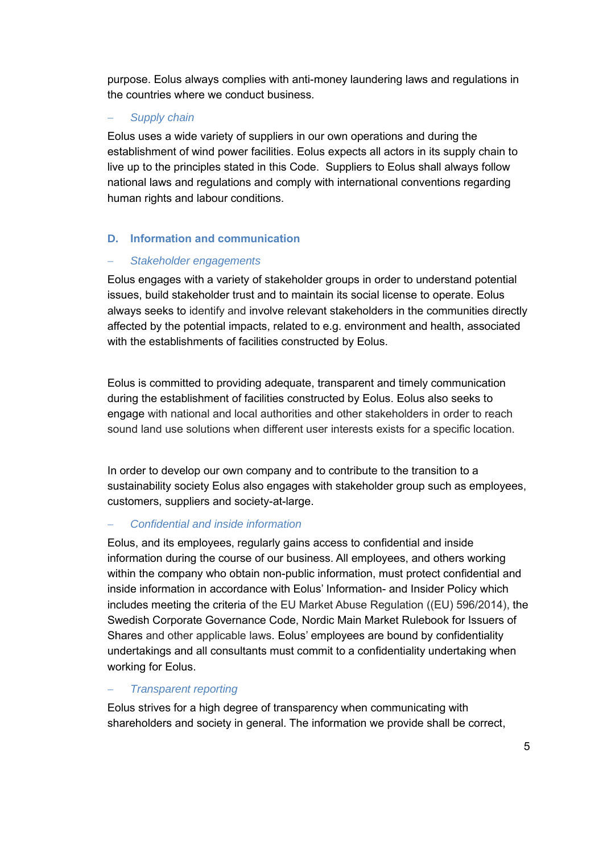purpose. Eolus always complies with anti-money laundering laws and regulations in the countries where we conduct business.

# − *Supply chain*

Eolus uses a wide variety of suppliers in our own operations and during the establishment of wind power facilities. Eolus expects all actors in its supply chain to live up to the principles stated in this Code. Suppliers to Eolus shall always follow national laws and regulations and comply with international conventions regarding human rights and labour conditions.

# **D. Information and communication**

## − *Stakeholder engagements*

Eolus engages with a variety of stakeholder groups in order to understand potential issues, build stakeholder trust and to maintain its social license to operate. Eolus always seeks to identify and involve relevant stakeholders in the communities directly affected by the potential impacts, related to e.g. environment and health, associated with the establishments of facilities constructed by Eolus.

Eolus is committed to providing adequate, transparent and timely communication during the establishment of facilities constructed by Eolus. Eolus also seeks to engage with national and local authorities and other stakeholders in order to reach sound land use solutions when different user interests exists for a specific location.

In order to develop our own company and to contribute to the transition to a sustainability society Eolus also engages with stakeholder group such as employees, customers, suppliers and society-at-large.

## − *Confidential and inside information*

Eolus, and its employees, regularly gains access to confidential and inside information during the course of our business. All employees, and others working within the company who obtain non-public information, must protect confidential and inside information in accordance with Eolus' Information- and Insider Policy which includes meeting the criteria of the EU Market Abuse Regulation ((EU) 596/2014), the Swedish Corporate Governance Code, Nordic Main Market Rulebook for Issuers of Shares and other applicable laws. Eolus' employees are bound by confidentiality undertakings and all consultants must commit to a confidentiality undertaking when working for Eolus.

## − *Transparent reporting*

Eolus strives for a high degree of transparency when communicating with shareholders and society in general. The information we provide shall be correct,